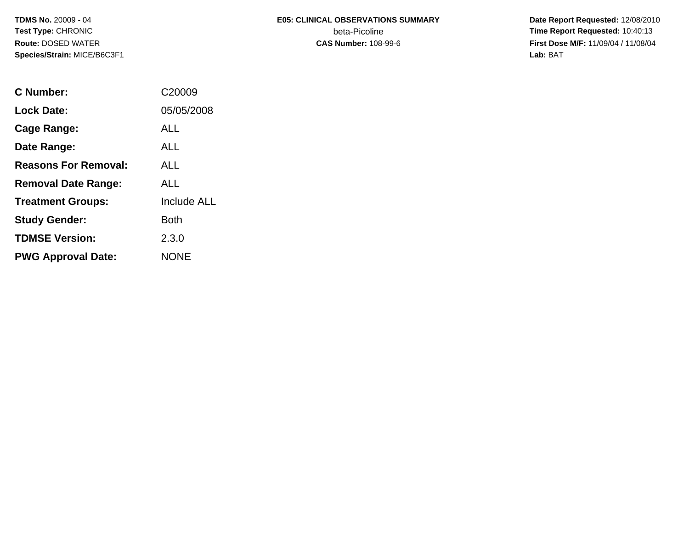# **E05: CLINICAL OBSERVATIONS SUMMARY**beta-Picoline<br>CAS Number: 108-99-6

 **Date Report Requested:** 12/08/2010 **Time Report Requested:** 10:40:13 **First Dose M/F:** 11/09/04 / 11/08/04<br>Lab: BAT **Lab:** BAT

| C Number:                   | C <sub>20009</sub> |
|-----------------------------|--------------------|
| <b>Lock Date:</b>           | 05/05/2008         |
| <b>Cage Range:</b>          | ALL                |
| Date Range:                 | ALL                |
| <b>Reasons For Removal:</b> | AI I               |
| <b>Removal Date Range:</b>  | AI I               |
| <b>Treatment Groups:</b>    | <b>Include ALL</b> |
| <b>Study Gender:</b>        | <b>Both</b>        |
| <b>TDMSE Version:</b>       | 2.3.0              |
| <b>PWG Approval Date:</b>   | NONE               |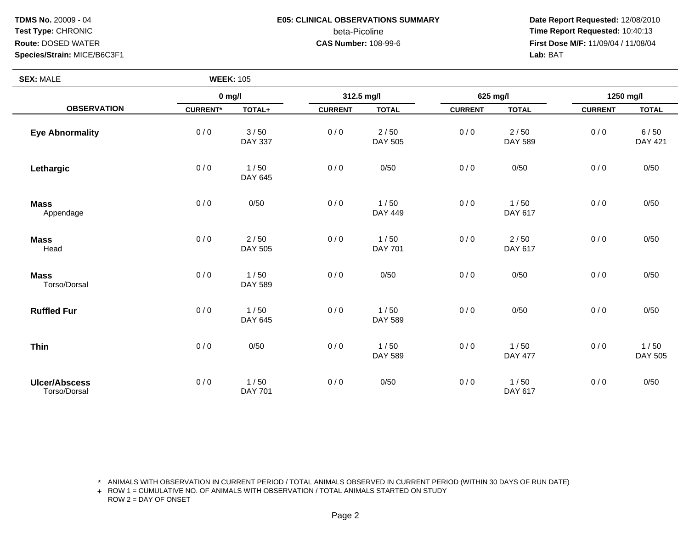# **E05: CLINICAL OBSERVATIONS SUMMARY**beta-Picoline<br>CAS Number: 108-99-6

 **Date Report Requested:** 12/08/2010 **Time Report Requested:** 10:40:13 **First Dose M/F:** 11/09/04 / 11/08/04<br>Lab: BAT **Lab:** BAT

| <b>SEX: MALE</b>                     | <b>WEEK: 105</b> |                        |                |                        |                |                        |                |                        |
|--------------------------------------|------------------|------------------------|----------------|------------------------|----------------|------------------------|----------------|------------------------|
|                                      | $0$ mg/l         |                        | 312.5 mg/l     |                        | 625 mg/l       |                        | 1250 mg/l      |                        |
| <b>OBSERVATION</b>                   | <b>CURRENT*</b>  | TOTAL+                 | <b>CURRENT</b> | <b>TOTAL</b>           | <b>CURRENT</b> | <b>TOTAL</b>           | <b>CURRENT</b> | <b>TOTAL</b>           |
| <b>Eye Abnormality</b>               | 0/0              | 3/50<br><b>DAY 337</b> | 0/0            | 2/50<br>DAY 505        | 0/0            | $2/50$<br>DAY 589      | 0/0            | 6/50<br><b>DAY 421</b> |
| Lethargic                            | 0/0              | 1/50<br>DAY 645        | 0/0            | 0/50                   | 0/0            | 0/50                   | 0/0            | 0/50                   |
| <b>Mass</b><br>Appendage             | 0/0              | 0/50                   | 0/0            | 1/50<br>DAY 449        | 0/0            | 1/50<br>DAY 617        | 0/0            | 0/50                   |
| <b>Mass</b><br>Head                  | 0/0              | 2/50<br>DAY 505        | 0/0            | 1/50<br><b>DAY 701</b> | 0/0            | $2/50$<br>DAY 617      | 0/0            | 0/50                   |
| <b>Mass</b><br>Torso/Dorsal          | 0/0              | 1/50<br>DAY 589        | 0/0            | 0/50                   | 0/0            | 0/50                   | 0/0            | 0/50                   |
| <b>Ruffled Fur</b>                   | 0/0              | 1/50<br>DAY 645        | 0/0            | 1/50<br>DAY 589        | 0/0            | 0/50                   | 0/0            | 0/50                   |
| <b>Thin</b>                          | 0/0              | 0/50                   | 0/0            | 1/50<br>DAY 589        | 0/0            | 1/50<br><b>DAY 477</b> | 0/0            | 1/50<br>DAY 505        |
| <b>Ulcer/Abscess</b><br>Torso/Dorsal | 0/0              | 1/50<br><b>DAY 701</b> | 0/0            | 0/50                   | 0/0            | 1/50<br>DAY 617        | 0/0            | 0/50                   |

\* ANIMALS WITH OBSERVATION IN CURRENT PERIOD / TOTAL ANIMALS OBSERVED IN CURRENT PERIOD (WITHIN 30 DAYS OF RUN DATE)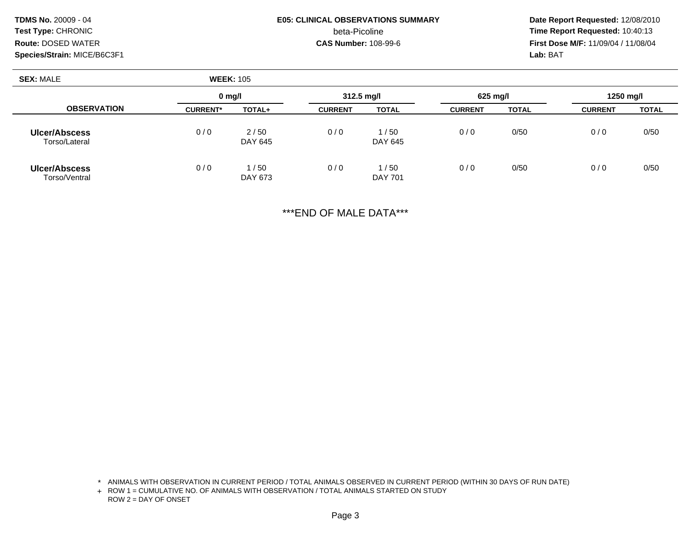# **E05: CLINICAL OBSERVATIONS SUMMARY**beta-Picoline<br>CAS Number: 108-99-6

 **Date Report Requested:** 12/08/2010 **Time Report Requested:** 10:40:13 **First Dose M/F:** 11/09/04 / 11/08/04<br>Lab: BAT **Lab:** BAT

| <b>SEX: MALE</b>                      | <b>WEEK: 105</b> |                 |                |                        |                |              |                |              |  |
|---------------------------------------|------------------|-----------------|----------------|------------------------|----------------|--------------|----------------|--------------|--|
|                                       | $0 \text{ mq/l}$ |                 | 312.5 mg/l     |                        | $625$ mg/l     |              | 1250 mg/l      |              |  |
| <b>OBSERVATION</b>                    | <b>CURRENT*</b>  | TOTAL+          | <b>CURRENT</b> | <b>TOTAL</b>           | <b>CURRENT</b> | <b>TOTAL</b> | <b>CURRENT</b> | <b>TOTAL</b> |  |
| <b>Ulcer/Abscess</b><br>Torso/Lateral | 0/0              | 2/50<br>DAY 645 | 0/0            | 1/50<br>DAY 645        | 0/0            | 0/50         | 0/0            | 0/50         |  |
| <b>Ulcer/Abscess</b><br>Torso/Ventral | 0/0              | 1/50<br>DAY 673 | 0/0            | 1/50<br><b>DAY 701</b> | 0/0            | 0/50         | 0/0            | 0/50         |  |

\*\*\*END OF MALE DATA\*\*\*

\* ANIMALS WITH OBSERVATION IN CURRENT PERIOD / TOTAL ANIMALS OBSERVED IN CURRENT PERIOD (WITHIN 30 DAYS OF RUN DATE)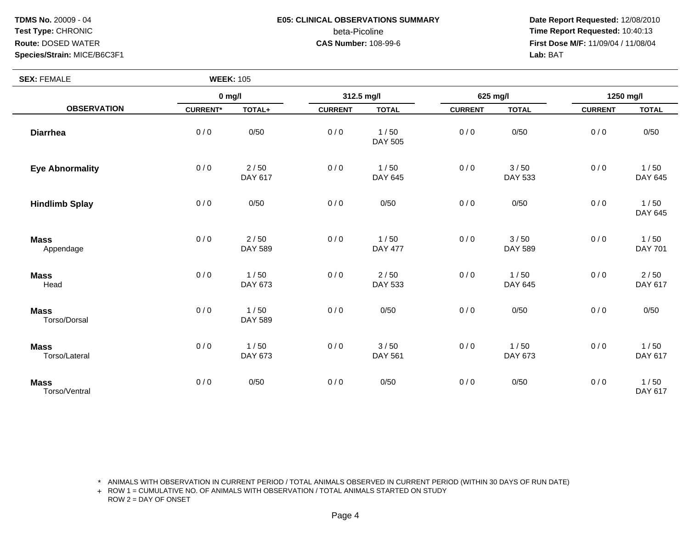**TDMS No.** 20009 - 04**Test Type:** CHRONIC**Route:** DOSED WATER

### **Species/Strain:** MICE/B6C3F1

# **E05: CLINICAL OBSERVATIONS SUMMARY**

# beta-Picoline<br>CAS Number: 108-99-6

 **Date Report Requested:** 12/08/2010 **Time Report Requested:** 10:40:13 **First Dose M/F:** 11/09/04 / 11/08/04<br>Lab: BAT **Lab:** BAT

| <b>SEX: FEMALE</b>           |                 | <b>WEEK: 105</b>  |                |                        |                |                        |                |                   |
|------------------------------|-----------------|-------------------|----------------|------------------------|----------------|------------------------|----------------|-------------------|
| <b>OBSERVATION</b>           | $0$ mg/l        |                   | 312.5 mg/l     |                        | 625 mg/l       |                        | 1250 mg/l      |                   |
|                              | <b>CURRENT*</b> | TOTAL+            | <b>CURRENT</b> | <b>TOTAL</b>           | <b>CURRENT</b> | <b>TOTAL</b>           | <b>CURRENT</b> | <b>TOTAL</b>      |
| <b>Diarrhea</b>              | 0/0             | 0/50              | 0/0            | 1/50<br>DAY 505        | 0/0            | 0/50                   | 0/0            | 0/50              |
| <b>Eye Abnormality</b>       | 0/0             | $2/50$<br>DAY 617 | 0/0            | 1/50<br>DAY 645        | 0/0            | 3/50<br>DAY 533        | 0/0            | 1/50<br>DAY 645   |
| <b>Hindlimb Splay</b>        | 0/0             | 0/50              | 0/0            | 0/50                   | 0/0            | 0/50                   | 0/0            | 1/50<br>DAY 645   |
| <b>Mass</b><br>Appendage     | 0/0             | $2/50$<br>DAY 589 | 0/0            | 1/50<br><b>DAY 477</b> | 0/0            | 3/50<br><b>DAY 589</b> | 0/0            | 1/50<br>DAY 701   |
| <b>Mass</b><br>Head          | 0/0             | 1/50<br>DAY 673   | 0/0            | $2/50$<br>DAY 533      | $0/0$          | 1/50<br>DAY 645        | 0/0            | $2/50$<br>DAY 617 |
| <b>Mass</b><br>Torso/Dorsal  | 0/0             | 1/50<br>DAY 589   | 0/0            | 0/50                   | 0/0            | 0/50                   | 0/0            | 0/50              |
| <b>Mass</b><br>Torso/Lateral | 0/0             | 1/50<br>DAY 673   | 0/0            | 3/50<br>DAY 561        | 0/0            | 1/50<br>DAY 673        | 0/0            | 1/50<br>DAY 617   |
| <b>Mass</b><br>Torso/Ventral | 0/0             | 0/50              | 0/0            | 0/50                   | 0/0            | 0/50                   | 0/0            | 1/50<br>DAY 617   |

\* ANIMALS WITH OBSERVATION IN CURRENT PERIOD / TOTAL ANIMALS OBSERVED IN CURRENT PERIOD (WITHIN 30 DAYS OF RUN DATE)